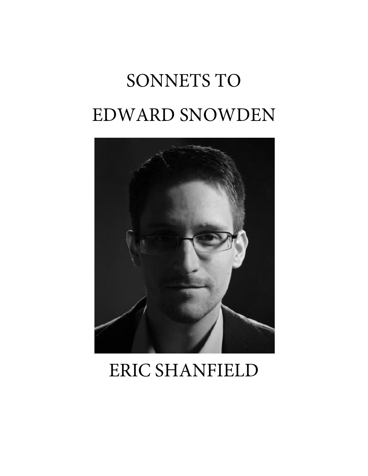

## ERIC SHANFIELD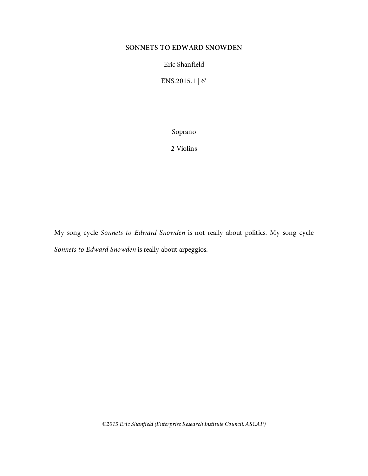Eric Shanfield

ENS.2015.1 | 6'

Soprano

2 Violins

My song cycle *Sonnets to Edward Snowden* is not really about politics. My song cycle *Sonnets to Edward Snowden* is really about arpeggios.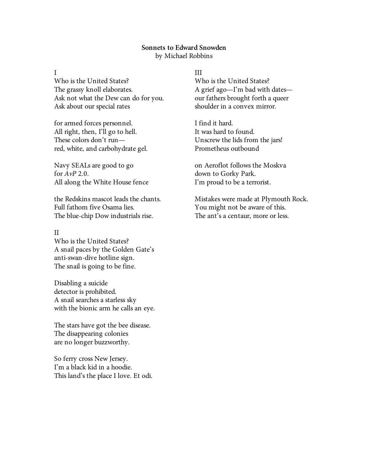#### **Sonnets to Edward Snowden** by Michael Robbins

I

Who is the United States? The grassy knoll elaborates. Ask not what the Dew can do for you. Ask about our special rates

for armed forces personnel. All right, then, I'll go to hell. These colors don't run red, white, and carbohydrate gel.

Navy SEALs are good to go for *AvP* 2.0. All along the White House fence

the Redskins mascot leads the chants. Full fathom five Osama lies. The blue-chip Dow industrials rise.

#### II

Who is the United States? A snail paces by the Golden Gate's anti-swan-dive hotline sign. The snail is going to be fine.

Disabling a suicide detector is prohibited. A snail searches a starless sky with the bionic arm he calls an eye.

The stars have got the bee disease. The disappearing colonies are no longer buzzworthy.

So ferry cross New Jersey. I'm a black kid in a hoodie. This land's the place I love. Et odi.

#### III

Who is the United States? A grief ago—I'm bad with dates our fathers brought forth a queer shoulder in a convex mirror.

I find it hard. It was hard to found. Unscrew the lids from the jars! Prometheus outbound

on Aeroflot follows the Moskva down to Gorky Park. I'm proud to be a terrorist.

Mistakes were made at Plymouth Rock. You might not be aware of this. The ant's a centaur, more or less.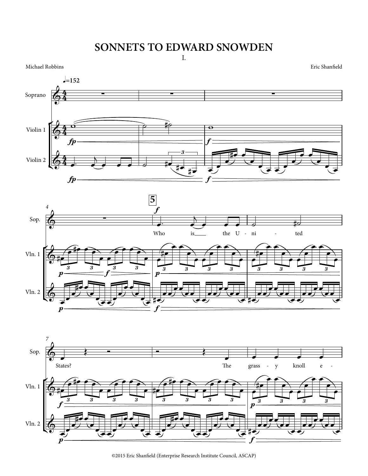I.

Michael Robbins Eric Shanfield







©2015 Eric Shanfield (Enterprise Research Institute Council, ASCAP)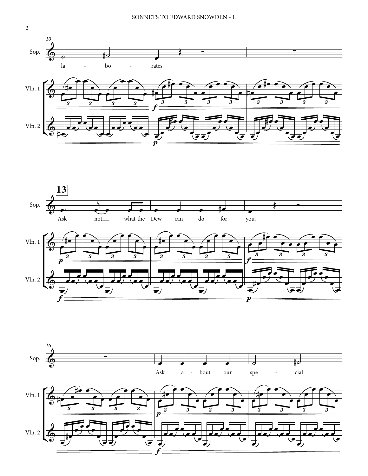





 $\overline{2}$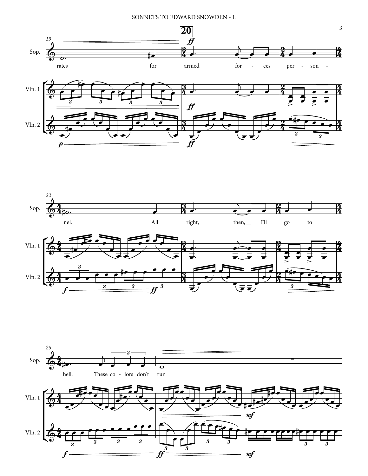



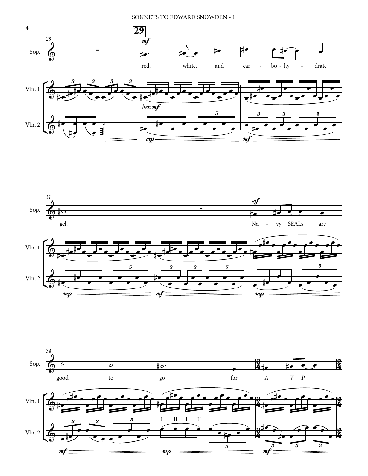



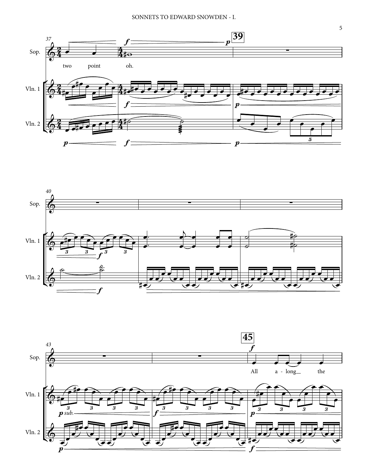



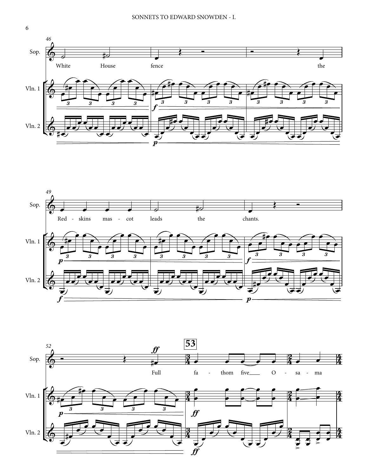



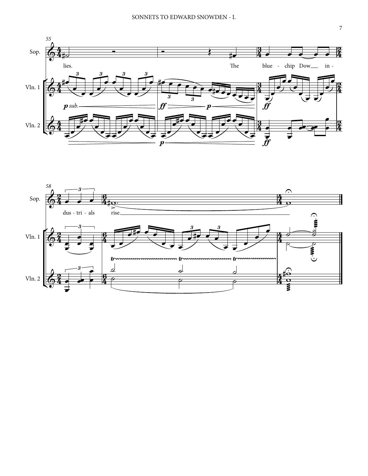

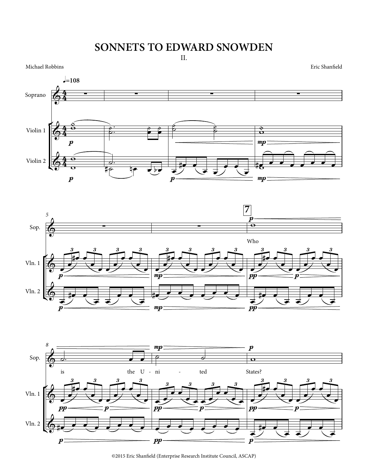II.

Michael Robbins Eric Shanfield







<sup>©2015</sup> Eric Shanfield (Enterprise Research Institute Council, ASCAP)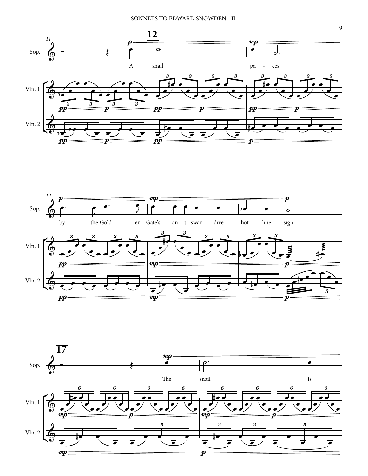



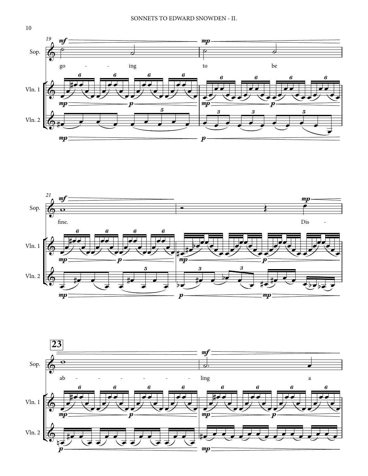





 $10$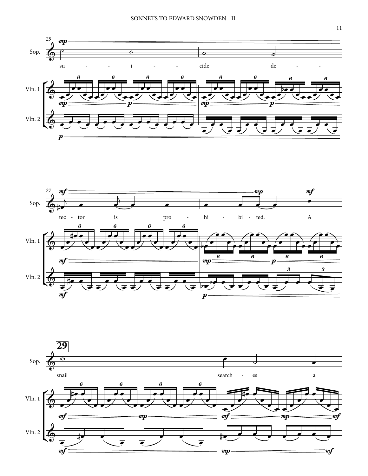



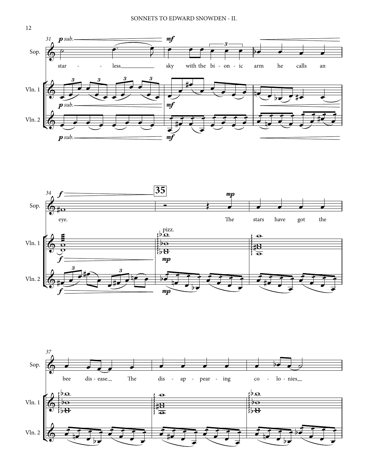



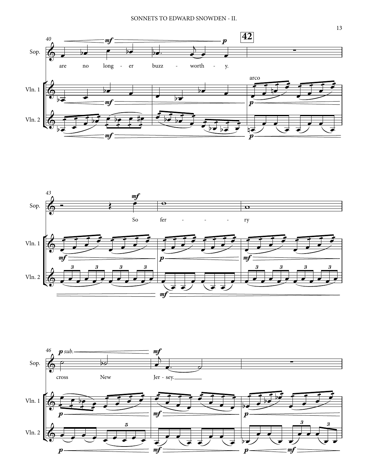



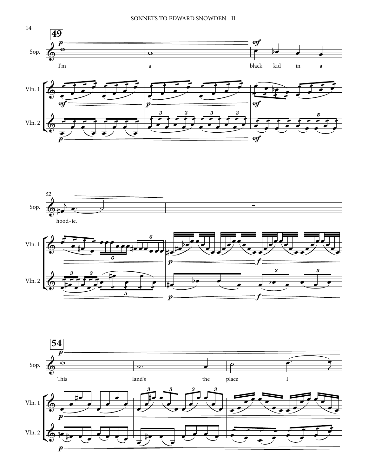



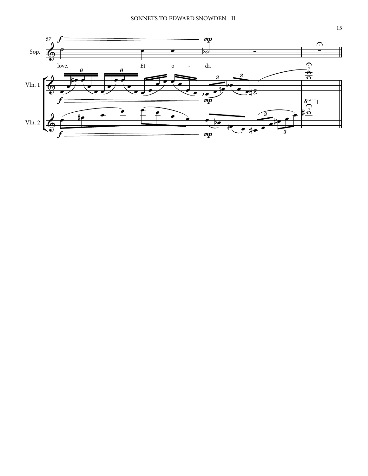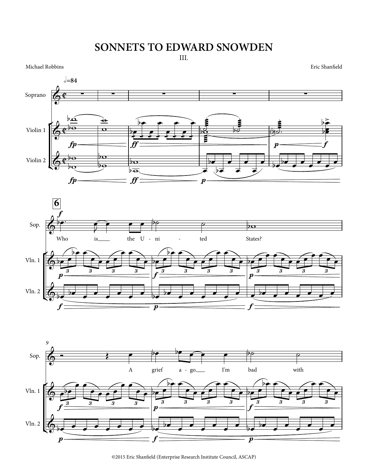III.

Eric Shanfield

Michael Robbins







©2015 Eric Shanfield (Enterprise Research Institute Council, ASCAP)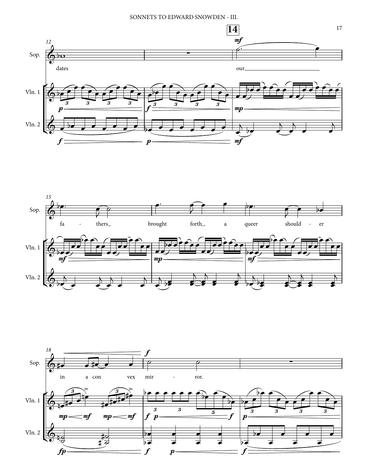



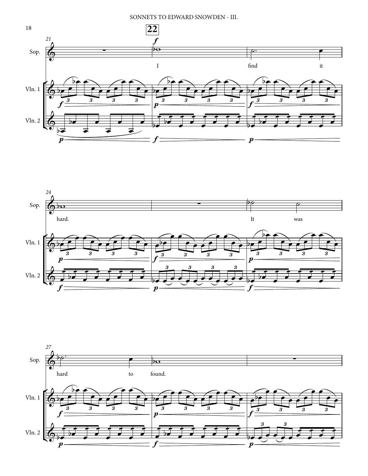SONNETS TO EDWARD SNOWDEN - III.





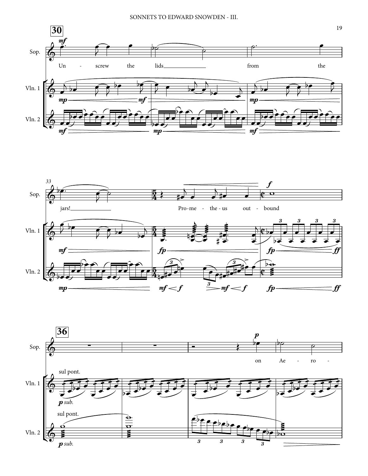



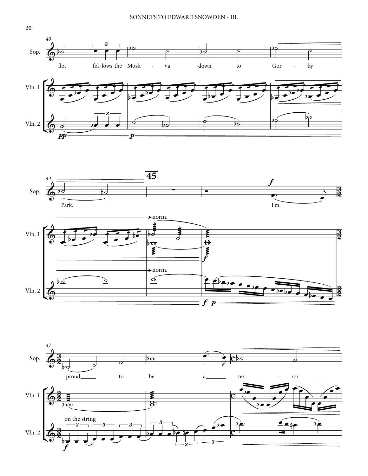



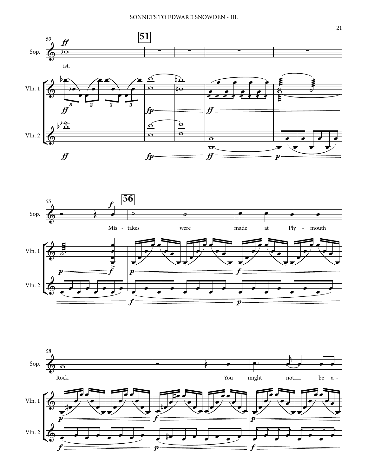